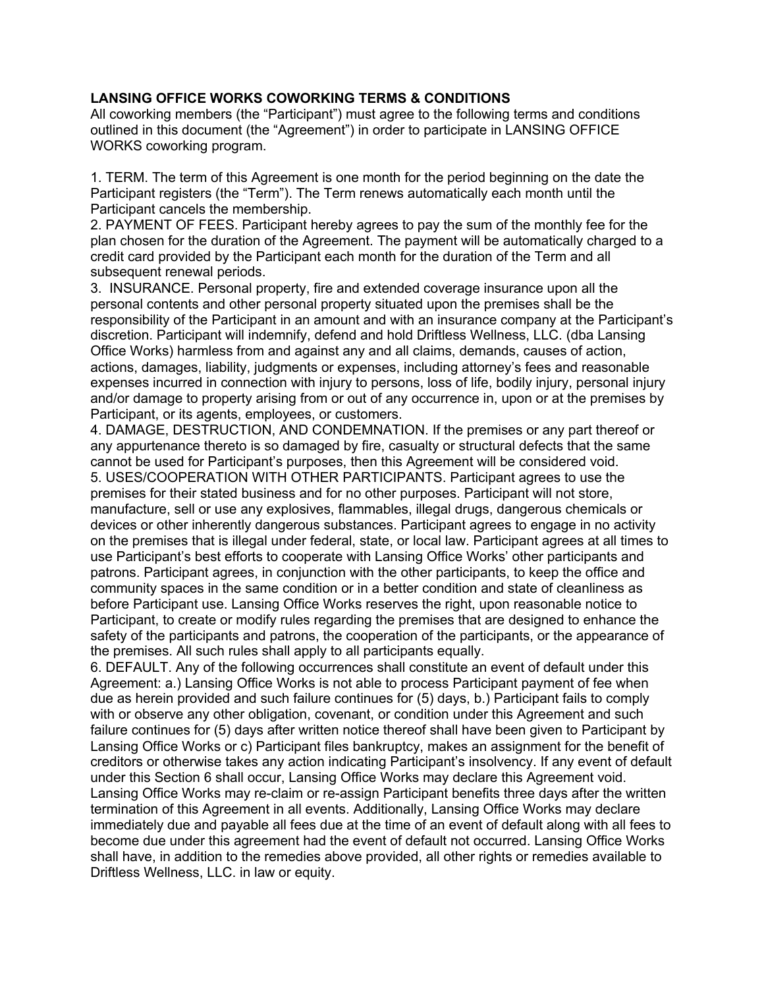## **LANSING OFFICE WORKS COWORKING TERMS & CONDITIONS**

All coworking members (the "Participant") must agree to the following terms and conditions outlined in this document (the "Agreement") in order to participate in LANSING OFFICE WORKS coworking program.

1. TERM. The term of this Agreement is one month for the period beginning on the date the Participant registers (the "Term"). The Term renews automatically each month until the Participant cancels the membership.

2. PAYMENT OF FEES. Participant hereby agrees to pay the sum of the monthly fee for the plan chosen for the duration of the Agreement. The payment will be automatically charged to a credit card provided by the Participant each month for the duration of the Term and all subsequent renewal periods.

3. INSURANCE. Personal property, fire and extended coverage insurance upon all the personal contents and other personal property situated upon the premises shall be the responsibility of the Participant in an amount and with an insurance company at the Participant's discretion. Participant will indemnify, defend and hold Driftless Wellness, LLC. (dba Lansing Office Works) harmless from and against any and all claims, demands, causes of action, actions, damages, liability, judgments or expenses, including attorney's fees and reasonable expenses incurred in connection with injury to persons, loss of life, bodily injury, personal injury and/or damage to property arising from or out of any occurrence in, upon or at the premises by Participant, or its agents, employees, or customers.

4. DAMAGE, DESTRUCTION, AND CONDEMNATION. If the premises or any part thereof or any appurtenance thereto is so damaged by fire, casualty or structural defects that the same cannot be used for Participant's purposes, then this Agreement will be considered void. 5. USES/COOPERATION WITH OTHER PARTICIPANTS. Participant agrees to use the premises for their stated business and for no other purposes. Participant will not store, manufacture, sell or use any explosives, flammables, illegal drugs, dangerous chemicals or devices or other inherently dangerous substances. Participant agrees to engage in no activity on the premises that is illegal under federal, state, or local law. Participant agrees at all times to use Participant's best efforts to cooperate with Lansing Office Works' other participants and patrons. Participant agrees, in conjunction with the other participants, to keep the office and community spaces in the same condition or in a better condition and state of cleanliness as before Participant use. Lansing Office Works reserves the right, upon reasonable notice to Participant, to create or modify rules regarding the premises that are designed to enhance the safety of the participants and patrons, the cooperation of the participants, or the appearance of the premises. All such rules shall apply to all participants equally.

6. DEFAULT. Any of the following occurrences shall constitute an event of default under this Agreement: a.) Lansing Office Works is not able to process Participant payment of fee when due as herein provided and such failure continues for (5) days, b.) Participant fails to comply with or observe any other obligation, covenant, or condition under this Agreement and such failure continues for (5) days after written notice thereof shall have been given to Participant by Lansing Office Works or c) Participant files bankruptcy, makes an assignment for the benefit of creditors or otherwise takes any action indicating Participant's insolvency. If any event of default under this Section 6 shall occur, Lansing Office Works may declare this Agreement void. Lansing Office Works may re-claim or re-assign Participant benefits three days after the written termination of this Agreement in all events. Additionally, Lansing Office Works may declare immediately due and payable all fees due at the time of an event of default along with all fees to become due under this agreement had the event of default not occurred. Lansing Office Works shall have, in addition to the remedies above provided, all other rights or remedies available to Driftless Wellness, LLC. in law or equity.